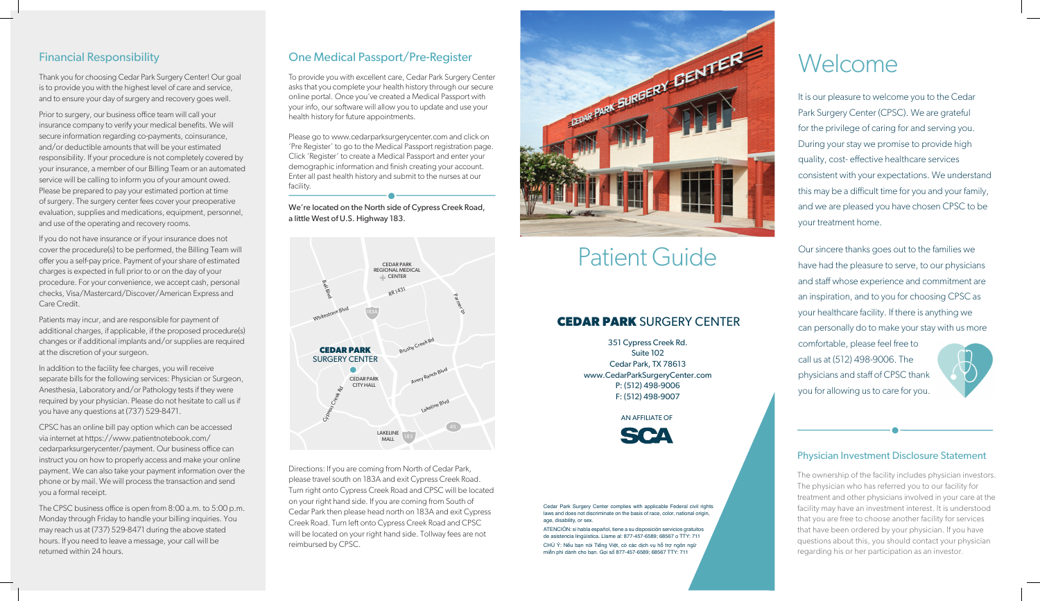## Financial Responsibility

Thank you for choosing Cedar Park Surgery Center! Our goal is to provide you with the highest level of care and service, is to provide you with the highest level of care and service,<br>and to ensure your day of surgery and recovery goes well. and to ensure your day or surgery and recovery goes wen.

Prior to surgery, our business office team will call your insurance company to verify your medical benefits. We will maturice company to verify your medical benefits, we will<br>secure information regarding co-payments, coinsurance, and/or deductible amounts that will be your estimated andy or deductible amounts that will be your estimated<br>responsibility. If your procedure is not completely covered by responsibility. If your procedure is not completely covered by<br>your insurance, a member of our Billing Team or an automated service will be calling to inform you of your amount owed. service will be calling to inform you or your amount owed.<br>Please be prepared to pay your estimated portion at time of surgery. The surgery center fees cover your preoperative evaluation, supplies and medications, equipment, personnel, and use of the operating and recovery rooms.  $i$  insurance comparison to verifie  $i$   $\alpha$  beginnering, comparison  $\alpha$ responsibility. If your procedure is not completely covered by i lease we prepared to pay your estimated portion at time.

If you do not have insurance or if your insurance does not cover the procedure(s) to be performed, the Billing Team will cover the procedure(s) to be penormed, the binning ream win<br>offer you a self-pay price. Payment of your share of estimated oner you a sen pay price. I ayment or your share or estimated<br>charges is expected in full prior to or on the day of your enarges is expected in fair prior to or on the day or your<br>procedure. For your convenience, we accept cash, personal procedure. Tor your convenience, we accept cash, persona<br>checks, Visa/Mastercard/Discover/American Express and Care Credit. proces, visa, iviasiencaru, Discover, American Lypress anu care credit. Visa/Mastercard/Discover/American Express and Discovery<br>Mastercard

# Welcome **VVCICOME**

It is our pleasure to welcome you to the Cedar Park Surgery Center (CPSC). We are grateful for the privilege of caring for and serving you. During your stay we promise to provide high quality, cost-effective healthcare services consistent with your expectations. We understand this may be a difficult time for you and your family, and we are pleased you have chosen CPSC to be your treatment home.

Our sincere thanks goes out to the families we have had the pleasure to serve, to our physicians and staff whose experience and commitment are an inspiration, and to you for choosing CPSC as your healthcare facility. If there is anything we can personally do to make your stay with us more comfortable, please feel free to call us at (512) 498-9006. The physicians and staff of CPSC thank you for allowing us to care for you.



Directions: If you are coming from North of Cedar Park, please travel south on 183A and exit Cypress Creek Road. please traver south on 100A and extric y press Creek Noad.<br>Turn right onto Cypress Creek Road and CPSC will be located Turn right onto Cypress Creek Road and Crise will be loca<br>on your right hand side. If you are coming from South of on your ngnt nand side: ir you are coming irom bouth or<br>Cedar Park then please head north on 183A and exit Cypress Cedan Fark their prease head noth for 183A and ext. Cypre<br>Creek Road. Turn left onto Cypress Creek Road and CPSC creek Road. Turn fert onto Cypress Creek Road and Cr. 5C<br>will be located on your right hand side. Tollway fees are not reimbursed by CPSC. will be located on your right hand side. Tollway lees are no



# Patient Guide Patient Guide

We're located on the North side of Cypress Creek Road, a little West of U.S. Highway 183.

> Cedar Park Surgery Center complies with applicable Federal civil rights laws and does not discriminate on the basis of race, color, national origin, age, disability, or sex.

> ATENCIÓN: si habla español, tiene a su disposición servicios gratuitos de asistencia lingüística. Llame al: 877-457-6589; 68567 o TTY: 711 age, uisability, or sex.<br>ATENCIÓN: si habla español, tiene a su disposición servicios gratuitos race, p

CHÚ Ý: Nếu bạn nói Tiếng Việt, có các dịch vụ hỗ trợ ngôn ngữ miễn phí dành cho bạn. Gọi số 877-457-6589; 68567 TTY: 711

#### Physician Investment Disclosure Statement

The ownership of the facility includes physician investors. The physician who has referred you to our facility for The physician who has referred you to our facility for the fingulation of the facility in dealinent and other physicians involved in your care at the<br>facility may have an investment interest. It is understood acting may have an investment interest. It is understood<br>that you are free to choose another facility for services that have been ordered by your physician. If you have that have been ordered by your physician. If you have<br>questions about this, you should contact your physician regarding his or her participation as an investor. fiat you are nee to choose another iachity for services.<br>It is understanding the story of the story of the story of the story of the story of the story of the story of questions about this, you should comact your physicia

Patients may incur, and are responsible for payment of additional charges, if applicable, if the proposed procedure(s) additional charges, if applicable, if the proposed procedure(s)<br>changes or if additional implants and/or supplies are required at the discretion of your surgeon. additional charges, if applicable, if the proposed procedure(s)

In addition to the facility fee charges, you will receive separate bills for the following services: Physician or Surgeon, separate bins for the following services. I hysician or barged<br>Anesthesia, Laboratory and/or Pathology tests if they were Anesthesia, Laboratory and/or Fathology tests in they were<br>required by your physician. Please do not hesitate to call us if you have any questions at (737) 529-8471.  $\frac{1}{2}$  equined by your priysician. Frease do not resitate to call us

CPSC has an online bill pay option which can be accessed via internet at https://www.patientnotebook.com/ via internet at nt.ps.77 www.patienthotebook.com/<br>cedarparksurgerycenter/payment. Our business office can cedarpansurgerycenter, payment. Our business once can<br>instruct you on how to properly access and make your online matricet you on now to propeny access and make your online<br>payment. We can also take your payment information over the payment. We can also take your payment information over the<br>phone or by mail. We will process the transaction and send you a formal receipt. priorie or by mail. We will process the transaction and send pou a formal receipt. We will process the transaction and send

The CPSC business office is open from 8:00 a.m. to 5:00 p.m. Monday through Friday to handle your billing inquiries. You<br>  $\frac{(727)500047}{1000}$ may reach us at (737) 529-8471 during the above stated may reach us at (737) 323-0471 during the above stated<br>hours. If you need to leave a message, your call will be hours. If you need within 24 hours.  $m$ us. If you need to leave a message, your can will be

## One Medical Passport/Pre-Register

.<br>To provide you with excellent care, Cedar Park Surgery Center asks that you complete your health history through our secure able that you complete your neutrinistery through our seed<br>online portal. Once you've created a Medical Passport with your info, our software will allow you to update and use your position, medical history for future appointments.

### **CEDAR PARK** SURGERY CENTER

351 Cypress Creek Rd. Suite 102 Suite 102<br>Cedar Park, TX 78613 eedar Fark, TX 70015<br>www.CedarParkSurgeryCenter.com edari ark5drgerycent.<br>P: (512) 498-9006 r: (512) 498-9000<br>F: (512) 498-9007  $\frac{1}{2}$ , (512) +700-9007

AN AFFILIATE OF

Please go to www.cedarparksurgerycenter.com and click on 'Pre Register' to go to the Medical Passport registration page.<br>Click on the Medical Passport registration page. Click 'Register' to create a Medical Passport and enter your demographic information and finish creating your account. Enter all past health history and submit to the nurses at our facility.